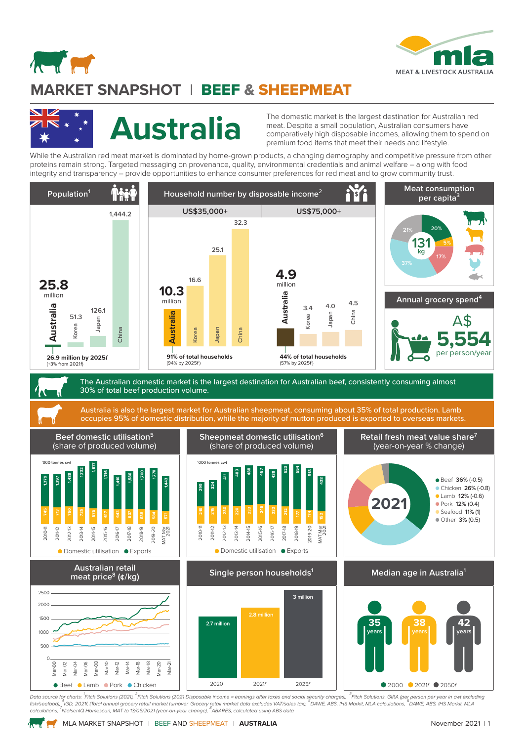

# **MARKET SNAPSHOT** lBEEF & SHEEPMEAT



**Andrew Company** 

The domestic market is the largest destination for Australian red<br>meat. Despite a small population, Australian consumers have<br>comparatively high disposable incomes, allowing them to spend meat. Despite a small population, Australian consumers have comparatively high disposable incomes, allowing them to spend on premium food items that meet their needs and lifestyle.

While the Australian red meat market is dominated by home-grown products, a changing demography and competitive pressure from other proteins remain strong. Targeted messaging on provenance, quality, environmental credentials and animal welfare – along with food integrity and transparency – provide opportunities to enhance consumer preferences for red meat and to grow community trust.



Data source for charts: <sup>1</sup>Fitch Solutions (2021), <sup>2</sup>Fitch Solutions (2021 Disposable income = earnings after taxes and social security charges), <sup>3</sup>Fitch Solutions, GIRA (per person per year in cwt excluding<br>fish/seafood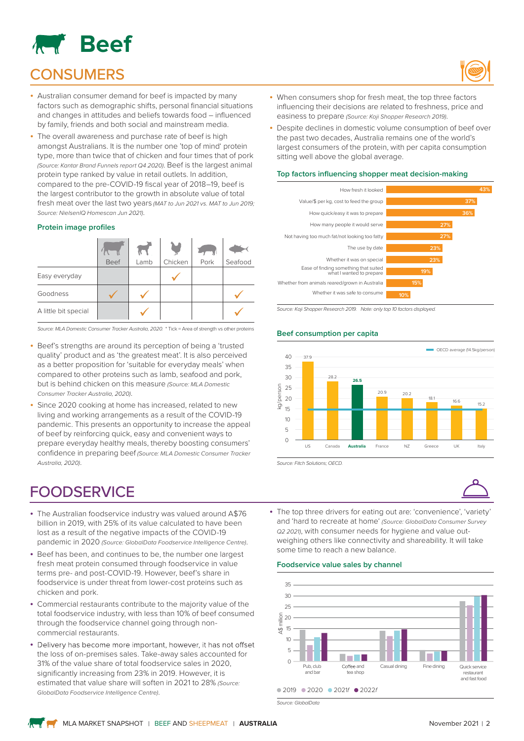

## **CONSUMERS**

- Australian consumer demand for beef is impacted by many factors such as demographic shifts, personal financial situations and changes in attitudes and beliefs towards food – influenced by family, friends and both social and mainstream media.
- The overall awareness and purchase rate of beef is high amongst Australians. It is the number one 'top of mind' protein type, more than twice that of chicken and four times that of pork *(Source: Kantar Brand Funnels report Q4 2020)*. Beef is the largest animal protein type ranked by value in retail outlets. In addition, compared to the pre-COVID-19 fiscal year of 2018–19, beef is the largest contributor to the growth in absolute value of total fresh meat over the last two years *(MAT to Jun 2021 vs. MAT to Jun 2019; Source: NielsenIQ Homescan Jun 2021)*.

#### **Protein image profiles**

|                      | Beef | Lamb | Chicken | Pork | Seafood |
|----------------------|------|------|---------|------|---------|
| Easy everyday        |      |      |         |      |         |
| Goodness             |      |      |         |      |         |
| A little bit special |      |      |         |      |         |

*Source: MLA Domestic Consumer Tracker Australia, 2020.* \* Tick = Area of strength vs other proteins

- Beef's strengths are around its perception of being a 'trusted quality' product and as 'the greatest meat'. It is also perceived as a better proposition for 'suitable for everyday meals' when compared to other proteins such as lamb, seafood and pork, but is behind chicken on this measure *(Source: MLA Domestic Consumer Tracker Australia, 2020)*.
- Since 2020 cooking at home has increased, related to new living and working arrangements as a result of the COVID-19 pandemic. This presents an opportunity to increase the appeal of beef by reinforcing quick, easy and convenient ways to prepare everyday healthy meals, thereby boosting consumers' confidence in preparing beef *(Source: MLA Domestic Consumer Tracker Australia, 2020)*.

## **FOODSERVICE**

- The Australian foodservice industry was valued around A\$76 billion in 2019, with 25% of its value calculated to have been lost as a result of the negative impacts of the COVID-19 pandemic in 2020 *(Source: GlobalData Foodservice Intelligence Centre)*.
- Beef has been, and continues to be, the number one largest fresh meat protein consumed through foodservice in value terms pre- and post-COVID-19. However, beef's share in foodservice is under threat from lower-cost proteins such as chicken and pork.
- Commercial restaurants contribute to the majority value of the total foodservice industry, with less than 10% of beef consumed through the foodservice channel going through noncommercial restaurants.
- Delivery has become more important, however, it has not offset the loss of on-premises sales. Take-away sales accounted for 31% of the value share of total foodservice sales in 2020, significantly increasing from 23% in 2019. However, it is estimated that value share will soften in 2021 to 28% *(Source: GlobalData Foodservice Intelligence Centre)*.



- When consumers shop for fresh meat, the top three factors influencing their decisions are related to freshness, price and easiness to prepare *(Source: Koji Shopper Research 2019)*.
- Despite declines in domestic volume consumption of beef over the past two decades, Australia remains one of the world's largest consumers of the protein, with per capita consumption sitting well above the global average.

#### **Top factors influencing shopper meat decision-making**



*Source: Koji Shopper Research 2019. Note: only top 10 factors displayed.*

#### **Beef consumption per capita**



*Source: Fitch Solutions; OECD.*



• The top three drivers for eating out are: 'convenience', 'variety' and 'hard to recreate at home' *(Source: GlobalData Consumer Survey Q2 2021)*, with consumer needs for hygiene and value outweighing others like connectivity and shareability. It will take some time to reach a new balance.

#### **Foodservice value sales by channel**



*Source: GlobalData*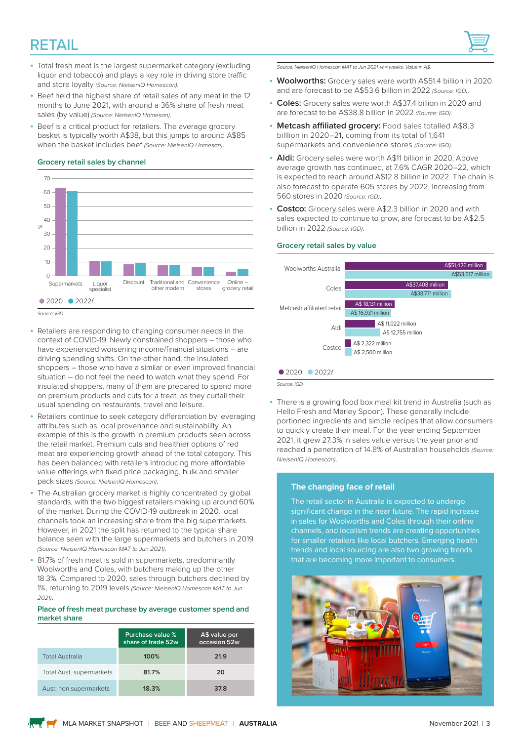## RETAIL



- Total fresh meat is the largest supermarket category (excluding liquor and tobacco) and plays a key role in driving store traffic and store loyalty *(Source: NielsenIQ Homescan)*.
- Beef held the highest share of retail sales of any meat in the 12 months to June 2021, with around a 36% share of fresh meat sales (by value) *(Source: NielsenIQ Homesan)*.
- Beef is a critical product for retailers. The average grocery basket is typically worth A\$38, but this jumps to around A\$85 when the basket includes beef *(Source: NielsenIQ Homesan)*.

#### **Grocery retail sales by channel**



- *Source: IGD*
- Retailers are responding to changing consumer needs in the context of COVID-19. Newly constrained shoppers – those who have experienced worsening income/financial situations – are driving spending shifts. On the other hand, the insulated shoppers – those who have a similar or even improved financial situation – do not feel the need to watch what they spend. For insulated shoppers, many of them are prepared to spend more on premium products and cuts for a treat, as they curtail their usual spending on restaurants, travel and leisure.
- Retailers continue to seek category differentiation by leveraging attributes such as local provenance and sustainability. An example of this is the growth in premium products seen across the retail market. Premium cuts and healthier options of red meat are experiencing growth ahead of the total category. This has been balanced with retailers introducing more affordable value offerings with fixed price packaging, bulk and smaller pack sizes *(Source: NielsenIQ Homescan)*.
- The Australian grocery market is highly concentrated by global standards, with the two biggest retailers making up around 60% of the market. During the COVID-19 outbreak in 2020, local channels took an increasing share from the big supermarkets. However, in 2021 the split has returned to the typical share balance seen with the large supermarkets and butchers in 2019 *(Source: NielsenIQ Homescan MAT to Jun 2021)*.
- 81.7% of fresh meat is sold in supermarkets, predominantly Woolworths and Coles, with butchers making up the other 18.3%. Compared to 2020, sales through butchers declined by 1%, returning to 2019 levels *(Source: NielsenIQ Homescan MAT to Jun 2021)*.

#### **Place of fresh meat purchase by average customer spend and market share**

|                                 | Purchase value %<br>share of trade 52w | A\$ value per<br>occasion 52w |
|---------------------------------|----------------------------------------|-------------------------------|
| <b>Total Australia</b>          | 100%                                   | 21.9                          |
| <b>Total Aust. supermarkets</b> | 81.7%                                  | 20                            |
| Aust. non supermarkets          | 18.3%                                  | 37.8                          |

*Source: NielsenIQ Homescan MAT to Jun 2021, w = weeks. Value in A\$.*

- **Woolworths:** Grocery sales were worth A\$51.4 billion in 2020 and are forecast to be A\$53.6 billion in 2022 *(Source: IGD)*.
- **Coles:** Grocery sales were worth A\$37.4 billion in 2020 and are forecast to be A\$38.8 billion in 2022 *(Source: IGD)*.
- **Metcash affiliated grocery:** Food sales totalled A\$8.3 billlion in 2020–21, coming from its total of 1,641 supermarkets and convenience stores *(Source: IGD)*.
- **Aldi:** Grocery sales were worth A\$11 billion in 2020. Above average growth has continued, at 7.6% CAGR 2020–22, which is expected to reach around A\$12.8 billion in 2022. The chain is also forecast to operate 605 stores by 2022, increasing from 560 stores in 2020 *(Source: IGD)*.
- **Costco:** Grocery sales were A\$2.3 billion in 2020 and with sales expected to continue to grow, are forecast to be A\$2.5 billion in 2022 *(Source: IGD)*.

#### **Grocery retail sales by value**



• There is a growing food box meal kit trend in Australia (such as Hello Fresh and Marley Spoon). These generally include portioned ingredients and simple recipes that allow consumers to quickly create their meal. For the year ending September 2021, it grew 27.3% in sales value versus the year prior and reached a penetration of 14.8% of Australian households *(Source: NielsenIQ Homescan)*.

#### **The changing face of retail**

The retail sector in Australia is expected to undergo significant change in the near future. The rapid increase in sales for Woolworths and Coles through their online channels, and localism trends are creating opportunities for smaller retailers like local butchers. Emerging health trends and local sourcing are also two growing trends that are becoming more important to consumers.